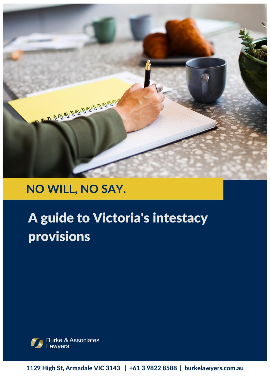

## NO WILL, NO SAY.

# A guide to Victoria's intestacy provisions



1129 High St, Armadale VIC 3143 | +61 3 9822 8588 | burkelawyers.com.au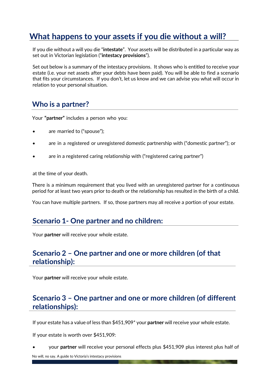## **What happens to your assets if you die without a will?**

If you die without a will you die "**intestate**". Your assets will be distributed in a particular way as set out in Victorian legislation ("**intestacy provisions**").

Set out below is a summary of the intestacy provisions. It shows who is entitled to receive your estate (i.e. your net assets after your debts have been paid). You will be able to find a scenario that fits your circumstances. If you don't, let us know and we can advise you what will occur in relation to your personal situation.

## **Who is a partner?**

Your **"partner"** includes a person who you:

- are married to ("spouse");
- are in a registered or unregistered domestic partnership with ("domestic partner"); or
- are in a registered caring relationship with ("registered caring partner")

at the time of your death.

There is a minimum requirement that you lived with an unregistered partner for a continuous period for at least two years prior to death or the relationship has resulted in the birth of a child.

You can have multiple partners. If so, those partners may all receive a portion of your estate.

#### **Scenario 1- One partner and no children:**

Your **partner** will receive your whole estate.

#### **Scenario 2 – One partner and one or more children (of that relationship):**

Your **partner** will receive your whole estate.

#### **Scenario 3 – One partner and one or more children (of different relationships):**

If your estate has a value of less than \$451,909\* your **partner** will receive your whole estate.

If your estate is worth over \$451,909:

• your **partner** will receive your personal effects plus \$451,909 plus interest plus half of

No will, no say. A guide to Victoria's intestacy provisions.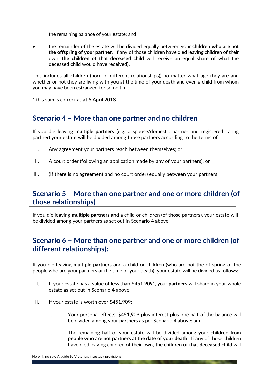the remaining balance of your estate; and

• the remainder of the estate will be divided equally between your **children who are not the offspring of your partner**. If any of those children have died leaving children of their own, **the children of that deceased child** will receive an equal share of what the deceased child would have received).

This includes all children (born of different relationships)) no matter what age they are and whether or not they are living with you at the time of your death and even a child from whom you may have been estranged for some time.

\* this sum is correct as at 5 April 2018

## **Scenario 4 – More than one partner and no children**

If you die leaving **multiple partners** (e.g. a spouse/domestic partner and registered caring partner) your estate will be divided among those partners according to the terms of:

- I. Any agreement your partners reach between themselves; or
- II. A court order (following an application made by any of your partners); or
- III. (If there is no agreement and no court order) equally between your partners

#### **Scenario 5 – More than one partner and one or more children (of those relationships)**

If you die leaving **multiple partners** and a child or children (of those partners), your estate will be divided among your partners as set out in Scenario 4 above.

## **Scenario 6 – More than one partner and one or more children (of different relationships):**

If you die leaving **multiple partners** and a child or children (who are not the offspring of the people who are your partners at the time of your death), your estate will be divided as follows:

- I. If your estate has a value of less than \$451,909\*, your **partners** will share in your whole estate as set out in Scenario 4 above.
- II. If your estate is worth over  $$451.909$ :
	- i. Your personal effects, \$451,909 plus interest plus one half of the balance will be divided among your **partners** as per Scenario 4 above; and
	- ii. The remaining half of your estate will be divided among your **children from people who are not partners at the date of your death**. If any of those children have died leaving children of their own, **the children of that deceased child** will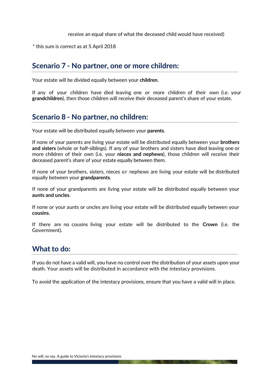receive an equal share of what the deceased child would have received)

\* this sum is correct as at 5 April 2018

#### **Scenario 7 - No partner, one or more children:**

Your estate will be divided equally between your **children**.

If any of your children have died leaving one or more children of their own (i.e. your **grandchildren**), then those children will receive their deceased parent's share of your estate.

## **Scenario 8 - No partner, no children:**

Your estate will be distributed equally between your **parents**.

If none of your parents are living your estate will be distributed equally between your **brothers and sisters** (whole or half-siblings). If any of your brothers and sisters have died leaving one or more children of their own (i.e. your **nieces and nephews**), those children will receive their deceased parent's share of your estate equally between them.

If none of your brothers, sisters, nieces or nephews are living your estate will be distributed equally between your **grandparents**.

If none of your grandparents are living your estate will be distributed equally between your **aunts and uncles**.

If none or your aunts or uncles are living your estate will be distributed equally between your **cousins**.

If there are no cousins living your estate will be distributed to the **Crown** (i.e. the Government)**.**

## **What to do:**

If you do not have a valid will, you have no control over the distribution of your assets upon your death. Your assets will be distributed in accordance with the intestacy provisions.

To avoid the application of the intestacy provisions, ensure that you have a valid will in place.